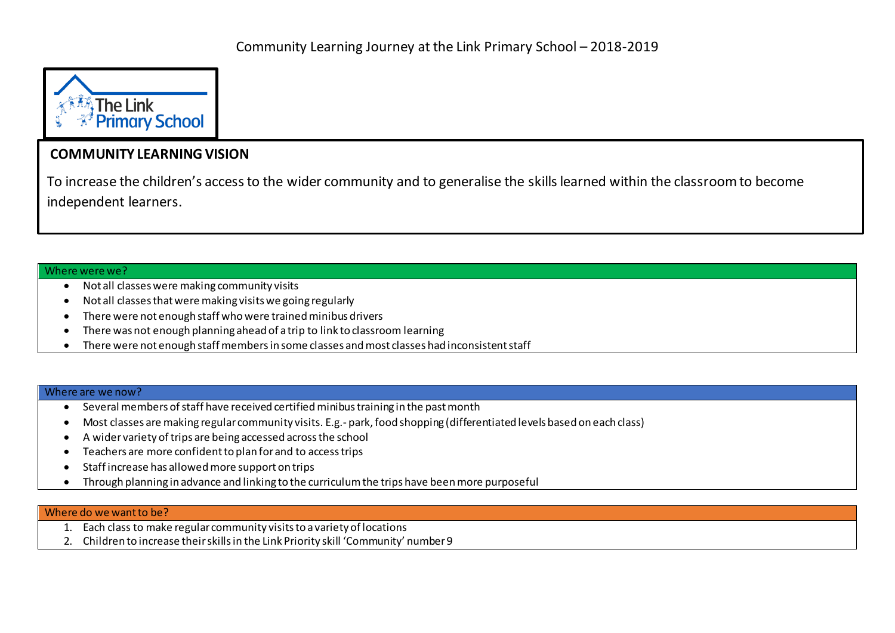

## **COMMUNITY LEARNING VISION**

To increase the children's access to the wider community and to generalise the skills learned within the classroom to become independent learners.

## Where were we?

- Not all classes were making community visits
- Not all classes that were making visits we going regularly
- There were not enough staff who were trained minibus drivers
- There was not enough planning ahead of a trip to link to classroom learning
- There were not enough staff members in some classes and most classes had inconsistent staff

## Where are we now?

- Several members of staff have received certified minibus training in the past month
- Most classes are making regular community visits. E.g.- park, food shopping (differentiated levels based on each class)
- A wider variety of trips are being accessed across the school
- Teachers are more confident to plan for and to access trips
- Staff increase has allowed more support on trips
- Through planning in advance and linking to the curriculum the trips have been more purposeful

## Where do we want to be?

- 1. Each class to make regular community visits to a variety of locations
- 2. Children to increase their skills in the Link Priority skill 'Community' number 9